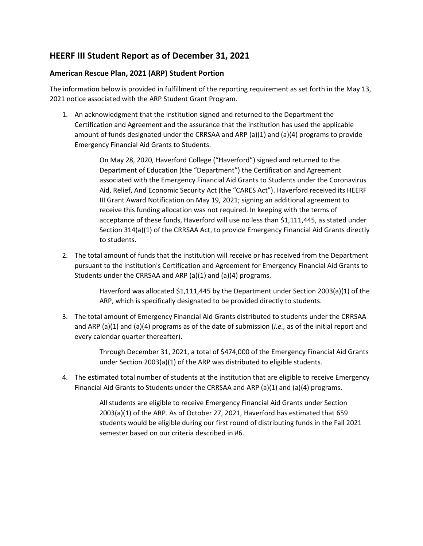## **HEERF III Student Report as of December 31, 2021**

## **American Rescue Plan, 2021 (ARP) Student Portion**

The information below is provided in fulfillment of the reporting requirement as set forth in the May 13, 2021 notice associated with the ARP Student Grant Program.

1. An acknowledgment that the institution signed and returned to the Department the Certification and Agreement and the assurance that the institution has used the applicable amount of funds designated under the CRRSAA and ARP (a)(1) and (a)(4) programs to provide Emergency Financial Aid Grants to Students.

> On May 28, 2020, Haverford College ("Haverford") signed and returned to the Department of Education (the "Department") the Certification and Agreement associated with the Emergency Financial Aid Grants to Students under the Coronavirus Aid, Relief, And Economic Security Act (the "CARES Act"). Haverford received its HEERF III Grant Award Notification on May 19, 2021; signing an additional agreement to receive this funding allocation was not required. In keeping with the terms of acceptance of these funds, Haverford will use no less than \$1,111,445, as stated under Section 314(a)(1) of the CRRSAA Act, to provide Emergency Financial Aid Grants directly to students.

2. The total amount of funds that the institution will receive or has received from the Department pursuant to the institution's Certification and Agreement for Emergency Financial Aid Grants to Students under the CRRSAA and ARP  $(a)(1)$  and  $(a)(4)$  programs.

> Haverford was allocated \$1,111,445 by the Department under Section 2003(a)(1) of the ARP, which is specifically designated to be provided directly to students.

3. The total amount of Emergency Financial Aid Grants distributed to students under the CRRSAA and ARP (a)(1) and (a)(4) programs as of the date of submission (*i.e.,* as of the initial report and every calendar quarter thereafter).

> Through December 31, 2021, a total of \$474,000 of the Emergency Financial Aid Grants under Section 2003(a)(1) of the ARP was distributed to eligible students.

4. The estimated total number of students at the institution that are eligible to receive Emergency Financial Aid Grants to Students under the CRRSAA and ARP (a)(1) and (a)(4) programs.

> All students are eligible to receive Emergency Financial Aid Grants under Section 2003(a)(1) of the ARP. As of October 27, 2021, Haverford has estimated that 659 students would be eligible during our first round of distributing funds in the Fall 2021 semester based on our criteria described in #6.